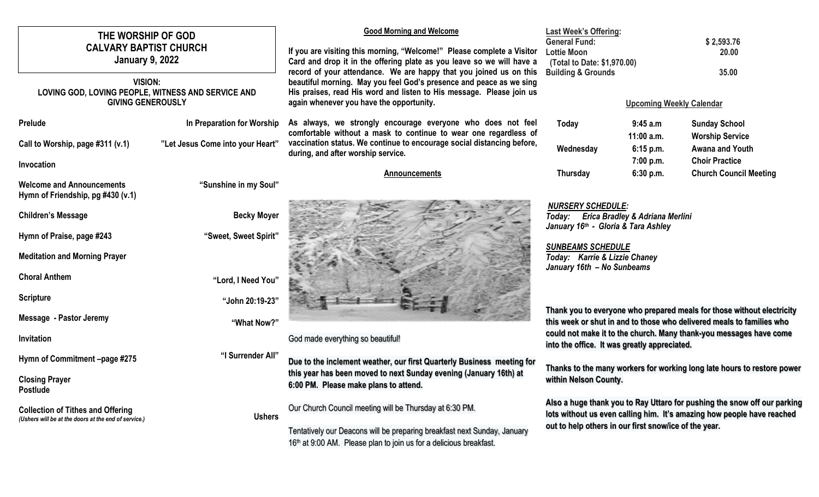| THE WORSHIP OF GOD<br><b>CALVARY BAPTIST CHURCH</b>                                              |                                  | <b>Good Morning and Welcome</b><br>If you are visiting this morning, "Welcome!" Please complete a Visitor                                                                               | <b>Last Week's Offering:</b><br><b>General Fund:</b><br><b>Lottie Moon</b>                                                                                                                                  | \$2,593.76<br>20.00         |                                                                         |  |
|--------------------------------------------------------------------------------------------------|----------------------------------|-----------------------------------------------------------------------------------------------------------------------------------------------------------------------------------------|-------------------------------------------------------------------------------------------------------------------------------------------------------------------------------------------------------------|-----------------------------|-------------------------------------------------------------------------|--|
| <b>January 9, 2022</b>                                                                           |                                  | Card and drop it in the offering plate as you leave so we will have a<br>record of your attendance. We are happy that you joined us on this                                             | (Total to Date: \$1,970.00)<br><b>Building &amp; Grounds</b>                                                                                                                                                | 35.00                       |                                                                         |  |
| <b>VISION:</b><br>LOVING GOD, LOVING PEOPLE, WITNESS AND SERVICE AND<br><b>GIVING GENEROUSLY</b> |                                  | beautiful morning. May you feel God's presence and peace as we sing<br>His praises, read His word and listen to His message. Please join us<br>again whenever you have the opportunity. | <b>Upcoming Weekly Calendar</b>                                                                                                                                                                             |                             |                                                                         |  |
| Prelude                                                                                          | In Preparation for Worship       | As always, we strongly encourage everyone who does not feel<br>comfortable without a mask to continue to wear one regardless of                                                         | Today                                                                                                                                                                                                       | 9:45 a.m                    | <b>Sunday School</b>                                                    |  |
| Call to Worship, page #311 (v.1)                                                                 | "Let Jesus Come into your Heart" | vaccination status. We continue to encourage social distancing before,<br>during, and after worship service.                                                                            | Wednesday                                                                                                                                                                                                   | $11:00$ a.m.<br>$6:15$ p.m. | <b>Worship Service</b><br>Awana and Youth                               |  |
| Invocation                                                                                       |                                  |                                                                                                                                                                                         |                                                                                                                                                                                                             | 7:00 p.m.                   | <b>Choir Practice</b>                                                   |  |
| <b>Welcome and Announcements</b><br>Hymn of Friendship, pg #430 (v.1)                            | "Sunshine in my Soul"            | Announcements                                                                                                                                                                           | <b>Thursday</b>                                                                                                                                                                                             | 6:30 p.m.                   | <b>Church Council Meeting</b>                                           |  |
| <b>Children's Message</b>                                                                        | <b>Becky Moyer</b>               |                                                                                                                                                                                         | <b>NURSERY SCHEDULE:</b><br>Today: Erica Bradley & Adriana Merlini<br>January 16th - Gloria & Tara Ashley                                                                                                   |                             |                                                                         |  |
| Hymn of Praise, page #243                                                                        | "Sweet, Sweet Spirit"            |                                                                                                                                                                                         |                                                                                                                                                                                                             |                             |                                                                         |  |
| <b>Meditation and Morning Prayer</b>                                                             |                                  |                                                                                                                                                                                         | <b>SUNBEAMS SCHEDULE</b><br>Today: Karrie & Lizzie Chaney<br>January 16th - No Sunbeams                                                                                                                     |                             |                                                                         |  |
| <b>Choral Anthem</b>                                                                             | "Lord, I Need You"               |                                                                                                                                                                                         |                                                                                                                                                                                                             |                             |                                                                         |  |
| <b>Scripture</b>                                                                                 | "John 20:19-23"                  |                                                                                                                                                                                         |                                                                                                                                                                                                             |                             |                                                                         |  |
| <b>Message - Pastor Jeremy</b>                                                                   | "What Now?"                      |                                                                                                                                                                                         | Thank you to everyone who prepared meals for those without electricity<br>this week or shut in and to those who delivered meals to families who                                                             |                             |                                                                         |  |
| Invitation                                                                                       |                                  | God made everything so beautiful!                                                                                                                                                       | into the office. It was greatly appreciated.                                                                                                                                                                |                             | could not make it to the church. Many thank-you messages have come      |  |
| Hymn of Commitment -page #275                                                                    | "I Surrender All"                | Due to the inclement weather, our first Quarterly Business meeting for                                                                                                                  |                                                                                                                                                                                                             |                             | Thanks to the many workers for working long late hours to restore power |  |
| <b>Closing Prayer</b><br>Postlude                                                                |                                  | this year has been moved to next Sunday evening (January 16th) at<br>6:00 PM. Please make plans to attend.                                                                              | within Nelson County.                                                                                                                                                                                       |                             |                                                                         |  |
| <b>Collection of Tithes and Offering</b><br>(Ushers will be at the doors at the end of service.) | <b>Ushers</b>                    | Our Church Council meeting will be Thursday at 6:30 PM.                                                                                                                                 | Also a huge thank you to Ray Uttaro for pushing the snow off our parking<br>lots without us even calling him. It's amazing how people have reached<br>out to help others in our first snowlice of the year. |                             |                                                                         |  |
|                                                                                                  |                                  | Tentatively our Deacons will be preparing breakfast next Sunday, January<br>16th at 9:00 AM. Please plan to join us for a delicious breakfast.                                          |                                                                                                                                                                                                             |                             |                                                                         |  |
|                                                                                                  |                                  |                                                                                                                                                                                         |                                                                                                                                                                                                             |                             |                                                                         |  |